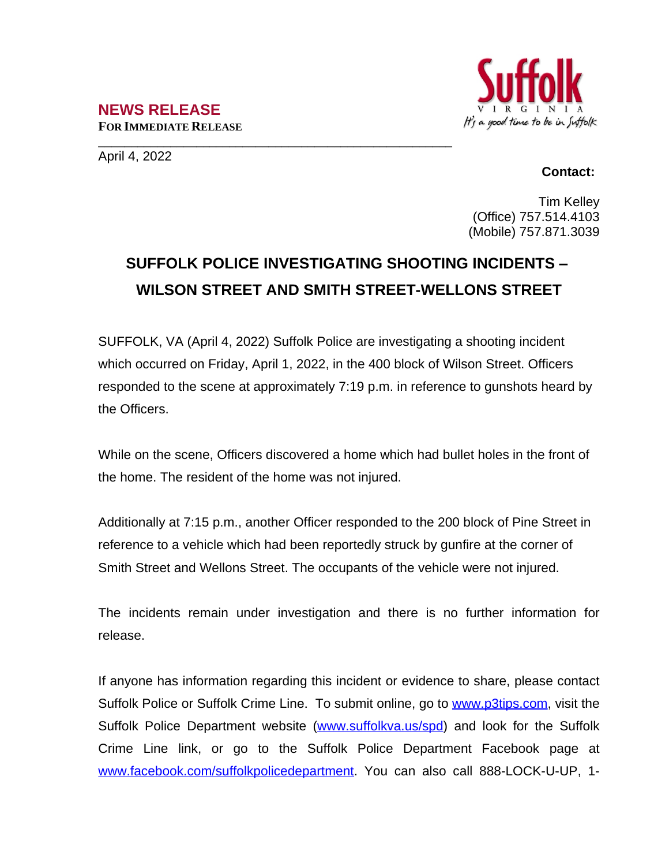## **NEWS RELEASE FOR IMMEDIATE RELEASE**



**\_\_\_\_\_\_\_\_\_\_\_\_\_\_\_\_\_\_\_\_\_\_\_\_\_\_\_\_\_\_\_\_\_\_\_\_\_\_\_\_\_\_\_\_\_\_\_\_\_\_\_\_\_\_** April 4, 2022

## **Contact:**

Tim Kelley (Office) 757.514.4103 (Mobile) 757.871.3039

## **SUFFOLK POLICE INVESTIGATING SHOOTING INCIDENTS – WILSON STREET AND SMITH STREET-WELLONS STREET**

SUFFOLK, VA (April 4, 2022) Suffolk Police are investigating a shooting incident which occurred on Friday, April 1, 2022, in the 400 block of Wilson Street. Officers responded to the scene at approximately 7:19 p.m. in reference to gunshots heard by the Officers.

While on the scene, Officers discovered a home which had bullet holes in the front of the home. The resident of the home was not injured.

Additionally at 7:15 p.m., another Officer responded to the 200 block of Pine Street in reference to a vehicle which had been reportedly struck by gunfire at the corner of Smith Street and Wellons Street. The occupants of the vehicle were not injured.

The incidents remain under investigation and there is no further information for release.

If anyone has information regarding this incident or evidence to share, please contact Suffolk Police or Suffolk Crime Line. To submit online, go to [www.p3tips.com](http://www.p3tips.com), visit the Suffolk Police Department website ([www.suffolkva.us/spd\)](http://www.suffolkva.us/spd) and look for the Suffolk Crime Line link, or go to the Suffolk Police Department Facebook page at [www.facebook.com/suffolkpolicedepartment](http://www.facebook.com/suffolkpolicedepartment). You can also call 888-LOCK-U-UP, 1